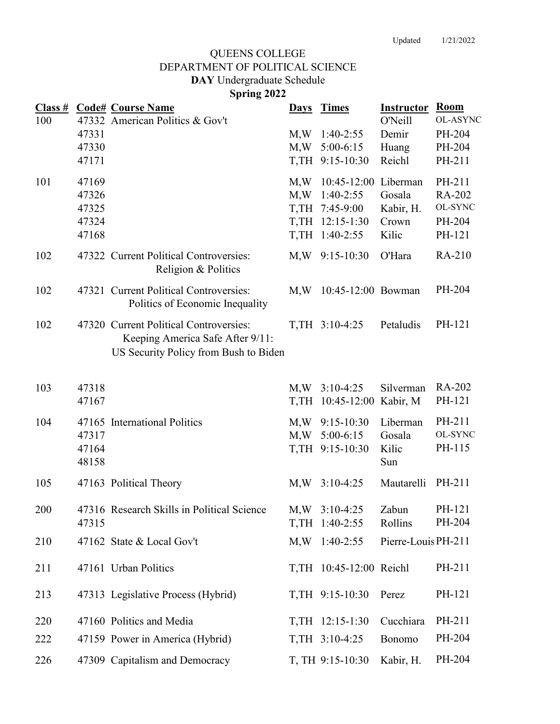## **Spring 2022 DAY** Undergraduate Schedule DEPARTMENT OF POLITICAL SCIENCE QUEENS COLLEGE

|            |                                           | <b>Class # Code# Course Name</b>                                                                                    |            | Days Times                                                                                    | <b>Instructor</b>                     | Room<br><b>OL-ASYNC</b>                         |
|------------|-------------------------------------------|---------------------------------------------------------------------------------------------------------------------|------------|-----------------------------------------------------------------------------------------------|---------------------------------------|-------------------------------------------------|
| 100        | 47331<br>47330<br>47171                   | 47332 American Politics & Gov't                                                                                     | M,W<br>M,W | $1:40-2:55$<br>$5:00-6:15$<br>T, TH 9:15-10:30                                                | O'Neill<br>Demir<br>Huang<br>Reichl   | PH-204<br>PH-204<br>PH-211                      |
| 101        | 47169<br>47326<br>47325<br>47324<br>47168 |                                                                                                                     | M,W<br>M,W | 10:45-12:00 Liberman<br>$1:40-2:55$<br>T, TH 7:45-9:00<br>T, TH 12:15-1:30<br>T, TH 1:40-2:55 | Gosala<br>Kabir, H.<br>Crown<br>Kilic | PH-211<br>RA-202<br>OL-SYNC<br>PH-204<br>PH-121 |
| 102        |                                           | 47322 Current Political Controversies:<br>Religion & Politics                                                       |            | M, W 9:15-10:30                                                                               | O'Hara                                | RA-210                                          |
| 102        |                                           | 47321 Current Political Controversies:<br>Politics of Economic Inequality                                           | M,W        | 10:45-12:00 Bowman                                                                            |                                       | PH-204                                          |
| 102        |                                           | 47320 Current Political Controversies:<br>Keeping America Safe After 9/11:<br>US Security Policy from Bush to Biden |            | T, TH 3:10-4:25                                                                               | Petaludis                             | PH-121                                          |
| 103        | 47318<br>47167                            |                                                                                                                     | M,W        | $3:10-4:25$<br>T, TH 10:45-12:00                                                              | Silverman<br>Kabir, M                 | RA-202<br>PH-121                                |
| 104        | 47317<br>47164<br>48158                   | 47165 International Politics                                                                                        | M,W        | $M,W$ 9:15-10:30<br>$5:00-6:15$<br>T, TH 9:15-10:30                                           | Liberman<br>Gosala<br>Kilic<br>Sun    | PH-211<br>OL-SYNC<br>PH-115                     |
| 105        |                                           | 47163 Political Theory                                                                                              | M,W        | $3:10-4:25$                                                                                   | Mautarelli                            | PH-211                                          |
| 200        | 47315                                     | 47316 Research Skills in Political Science                                                                          |            | $M, W$ 3:10-4:25<br>T, TH 1:40-2:55                                                           | Zabun<br>Rollins                      | PH-121<br>PH-204                                |
| 210        |                                           | 47162 State & Local Gov't                                                                                           |            | $M,W$ 1:40-2:55                                                                               | Pierre-Louis PH-211                   |                                                 |
| 211        |                                           | 47161 Urban Politics                                                                                                |            | T,TH 10:45-12:00 Reichl                                                                       |                                       | PH-211                                          |
| 213        |                                           | 47313 Legislative Process (Hybrid)                                                                                  |            | T, TH 9:15-10:30                                                                              | Perez                                 | PH-121                                          |
| 220<br>222 |                                           | 47160 Politics and Media<br>47159 Power in America (Hybrid)                                                         |            | T, TH 12:15-1:30<br>T, TH 3:10-4:25                                                           | Cucchiara<br>Bonomo                   | PH-211<br>PH-204                                |
| 226        |                                           | 47309 Capitalism and Democracy                                                                                      |            | T, TH 9:15-10:30                                                                              | Kabir, H.                             | PH-204                                          |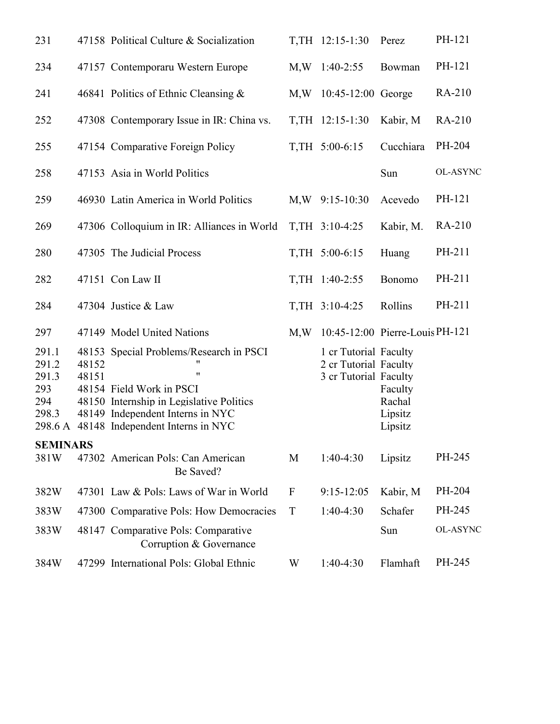| 231                                            |                | 47158 Political Culture & Socialization                                                                                                                                                                     |     | T, TH 12:15-1:30                                                        | Perez                                   | PH-121          |
|------------------------------------------------|----------------|-------------------------------------------------------------------------------------------------------------------------------------------------------------------------------------------------------------|-----|-------------------------------------------------------------------------|-----------------------------------------|-----------------|
| 234                                            |                | 47157 Contemporaru Western Europe                                                                                                                                                                           |     | $M,W$ 1:40-2:55                                                         | Bowman                                  | PH-121          |
| 241                                            |                | 46841 Politics of Ethnic Cleansing $\&$                                                                                                                                                                     |     | M, W 10:45-12:00 George                                                 |                                         | RA-210          |
| 252                                            |                | 47308 Contemporary Issue in IR: China vs.                                                                                                                                                                   |     | T, TH 12:15-1:30                                                        | Kabir, M                                | RA-210          |
| 255                                            |                | 47154 Comparative Foreign Policy                                                                                                                                                                            |     | T, TH 5:00-6:15                                                         | Cucchiara                               | PH-204          |
| 258                                            |                | 47153 Asia in World Politics                                                                                                                                                                                |     |                                                                         | Sun                                     | <b>OL-ASYNC</b> |
| 259                                            |                | 46930 Latin America in World Politics                                                                                                                                                                       |     | $M,W$ 9:15-10:30                                                        | Acevedo                                 | PH-121          |
| 269                                            |                | 47306 Colloquium in IR: Alliances in World                                                                                                                                                                  |     | T, TH 3:10-4:25                                                         | Kabir, M.                               | RA-210          |
| 280                                            |                | 47305 The Judicial Process                                                                                                                                                                                  |     | T, TH 5:00-6:15                                                         | Huang                                   | PH-211          |
| 282                                            |                | 47151 Con Law II                                                                                                                                                                                            |     | T, TH 1:40-2:55                                                         | Bonomo                                  | PH-211          |
| 284                                            |                | 47304 Justice & Law                                                                                                                                                                                         |     | T, TH 3:10-4:25                                                         | Rollins                                 | PH-211          |
| 297                                            |                | 47149 Model United Nations                                                                                                                                                                                  | M,W | 10:45-12:00 Pierre-Louis PH-121                                         |                                         |                 |
| 291.1<br>291.2<br>291.3<br>293<br>294<br>298.3 | 48152<br>48151 | 48153 Special Problems/Research in PSCI<br>11<br>11<br>48154 Field Work in PSCI<br>48150 Internship in Legislative Politics<br>48149 Independent Interns in NYC<br>298.6 A 48148 Independent Interns in NYC |     | 1 cr Tutorial Faculty<br>2 cr Tutorial Faculty<br>3 cr Tutorial Faculty | Faculty<br>Rachal<br>Lipsitz<br>Lipsitz |                 |
| <b>SEMINARS</b><br>381W                        |                | 47302 American Pols: Can American<br>Be Saved?                                                                                                                                                              | M   | $1:40-4:30$                                                             | Lipsitz                                 | PH-245          |
| 382W                                           |                | 47301 Law & Pols: Laws of War in World                                                                                                                                                                      | F   | $9:15 - 12:05$                                                          | Kabir, M                                | PH-204          |
| 383W                                           |                | 47300 Comparative Pols: How Democracies                                                                                                                                                                     | T   | 1:40-4:30                                                               | Schafer                                 | PH-245          |
| 383W                                           |                | 48147 Comparative Pols: Comparative<br>Corruption & Governance                                                                                                                                              |     |                                                                         | Sun                                     | <b>OL-ASYNC</b> |
| 384W                                           |                | 47299 International Pols: Global Ethnic                                                                                                                                                                     | W   | 1:40-4:30                                                               | Flamhaft                                | PH-245          |